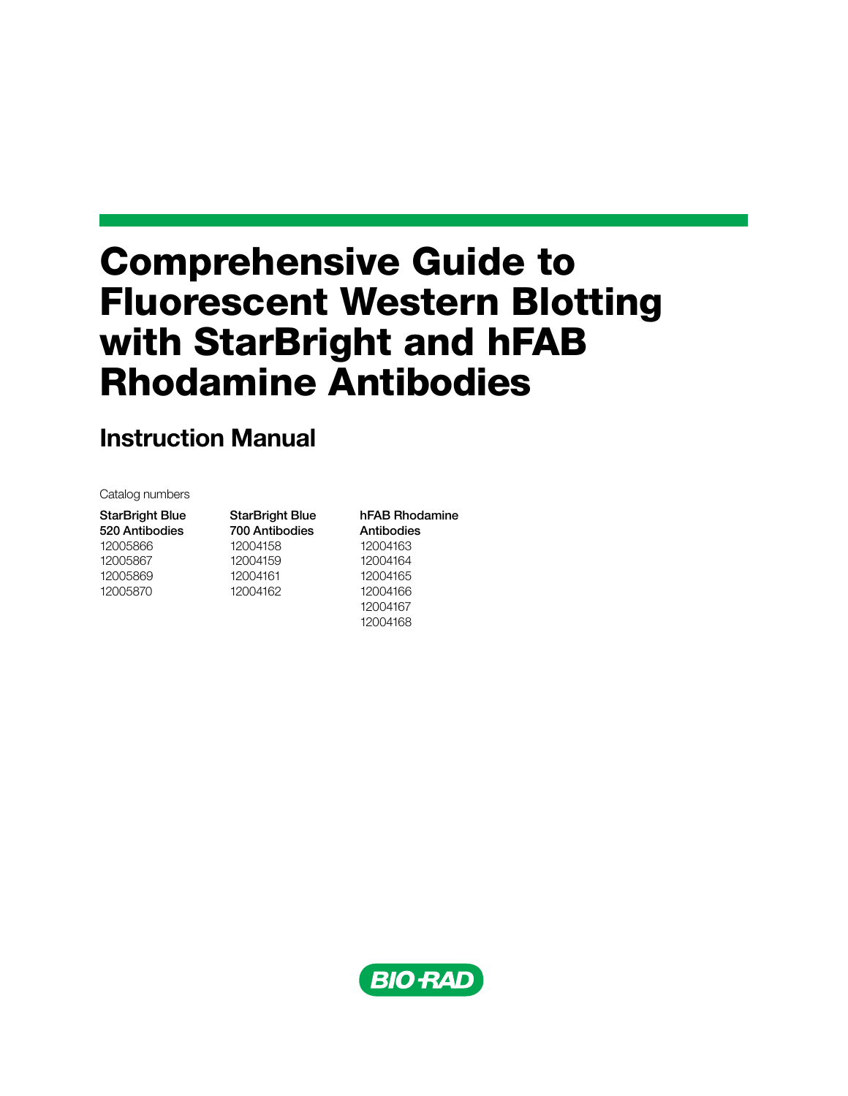# Comprehensive Guide to Fluorescent Western Blotting with StarBright and hFAB Rhodamine Antibodies

# Instruction Manual

Catalog numbers

StarBright Blue 520 Antibodies 12005866 12005867 12005869 12005870

StarBright Blue 700 Antibodies 12004158 12004159 12004161 12004162

12004168

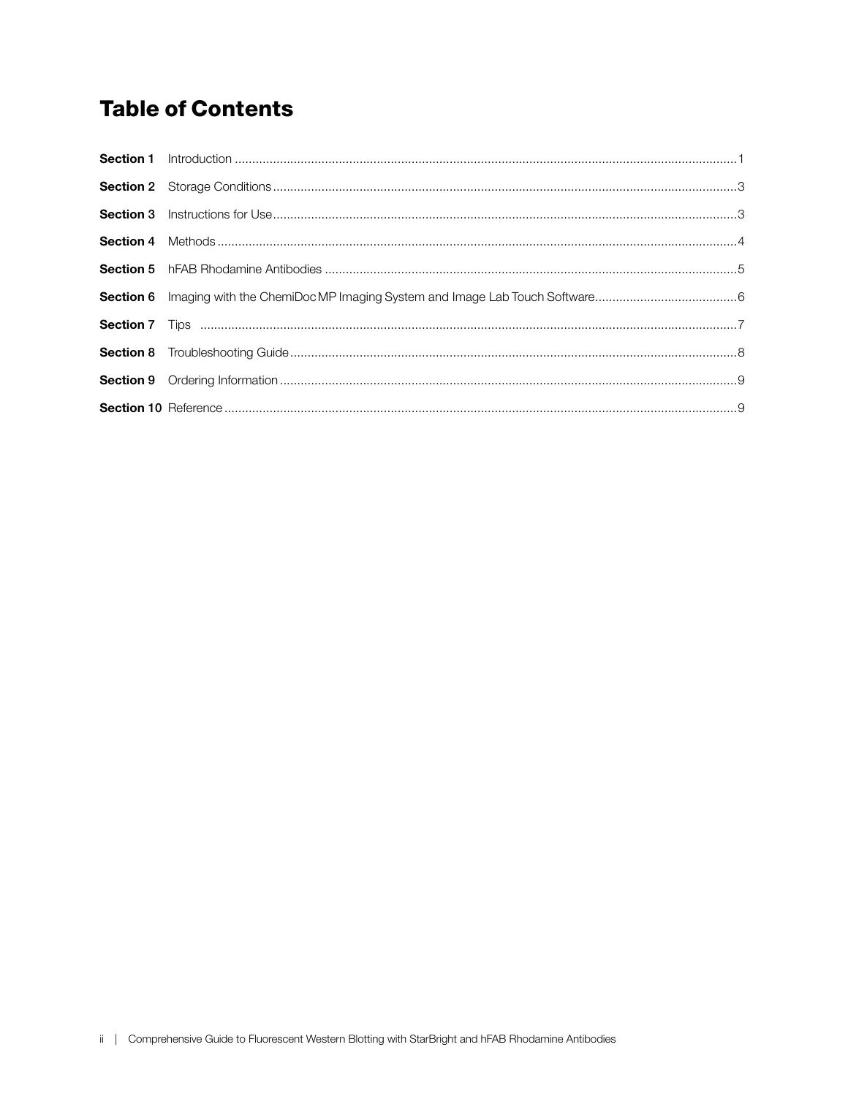# **Table of Contents**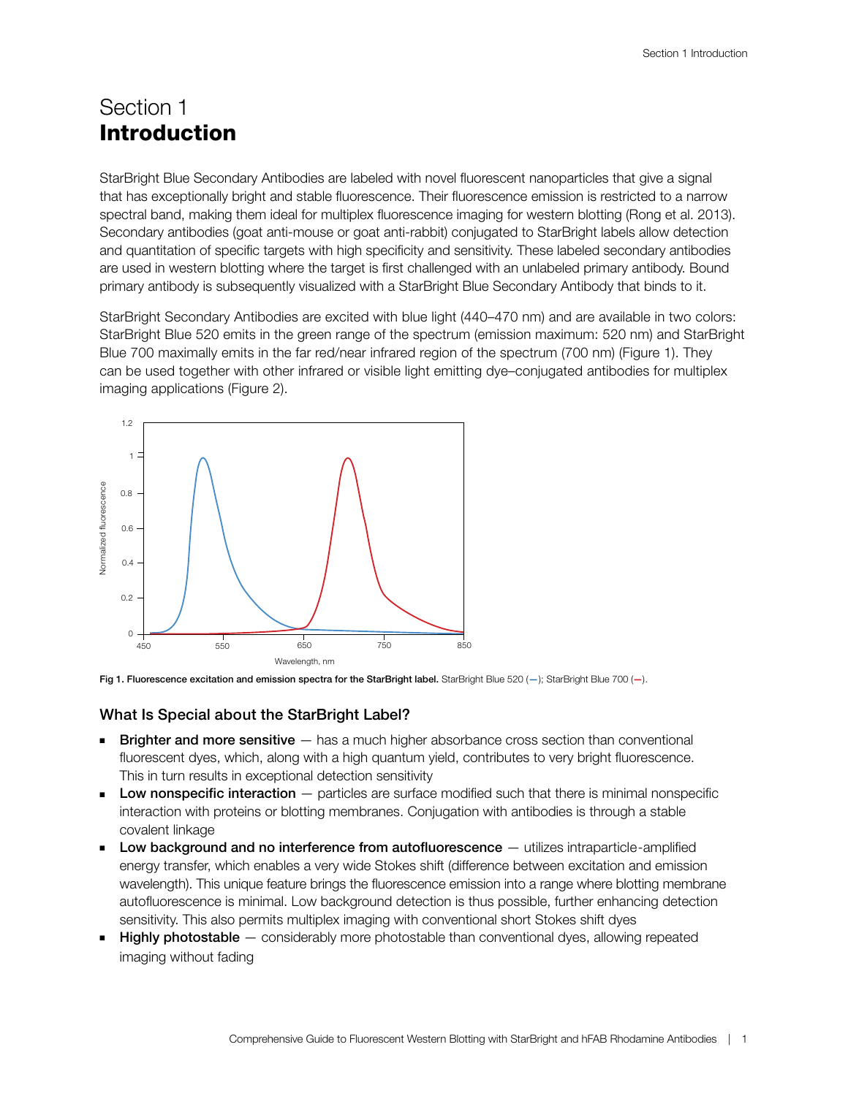### Section 1 Introduction

StarBright Blue Secondary Antibodies are labeled with novel fluorescent nanoparticles that give a signal that has exceptionally bright and stable fluorescence. Their fluorescence emission is restricted to a narrow spectral band, making them ideal for multiplex fluorescence imaging for western blotting (Rong et al. 2013). Secondary antibodies (goat anti-mouse or goat anti-rabbit) conjugated to StarBright labels allow detection and quantitation of specific targets with high specificity and sensitivity. These labeled secondary antibodies are used in western blotting where the target is first challenged with an unlabeled primary antibody. Bound primary antibody is subsequently visualized with a StarBright Blue Secondary Antibody that binds to it.

StarBright Secondary Antibodies are excited with blue light (440–470 nm) and are available in two colors: StarBright Blue 520 emits in the green range of the spectrum (emission maximum: 520 nm) and StarBright Blue 700 maximally emits in the far red/near infrared region of the spectrum (700 nm) (Figure 1). They can be used together with other infrared or visible light emitting dye–conjugated antibodies for multiplex imaging applications (Figure 2).





#### What Is Special about the StarBright Label?

- **Brighter and more sensitive**  $-$  has a much higher absorbance cross section than conventional fluorescent dyes, which, along with a high quantum yield, contributes to very bright fluorescence. This in turn results in exceptional detection sensitivity
- **Low nonspecific interaction**  $-$  particles are surface modified such that there is minimal nonspecific interaction with proteins or blotting membranes. Conjugation with antibodies is through a stable covalent linkage
- Low background and no interference from autofluorescence  $-$  utilizes intraparticle-amplified energy transfer, which enables a very wide Stokes shift (difference between excitation and emission wavelength). This unique feature brings the fluorescence emission into a range where blotting membrane autofluorescence is minimal. Low background detection is thus possible, further enhancing detection sensitivity. This also permits multiplex imaging with conventional short Stokes shift dyes
- **Highly photostable**  $-$  considerably more photostable than conventional dyes, allowing repeated imaging without fading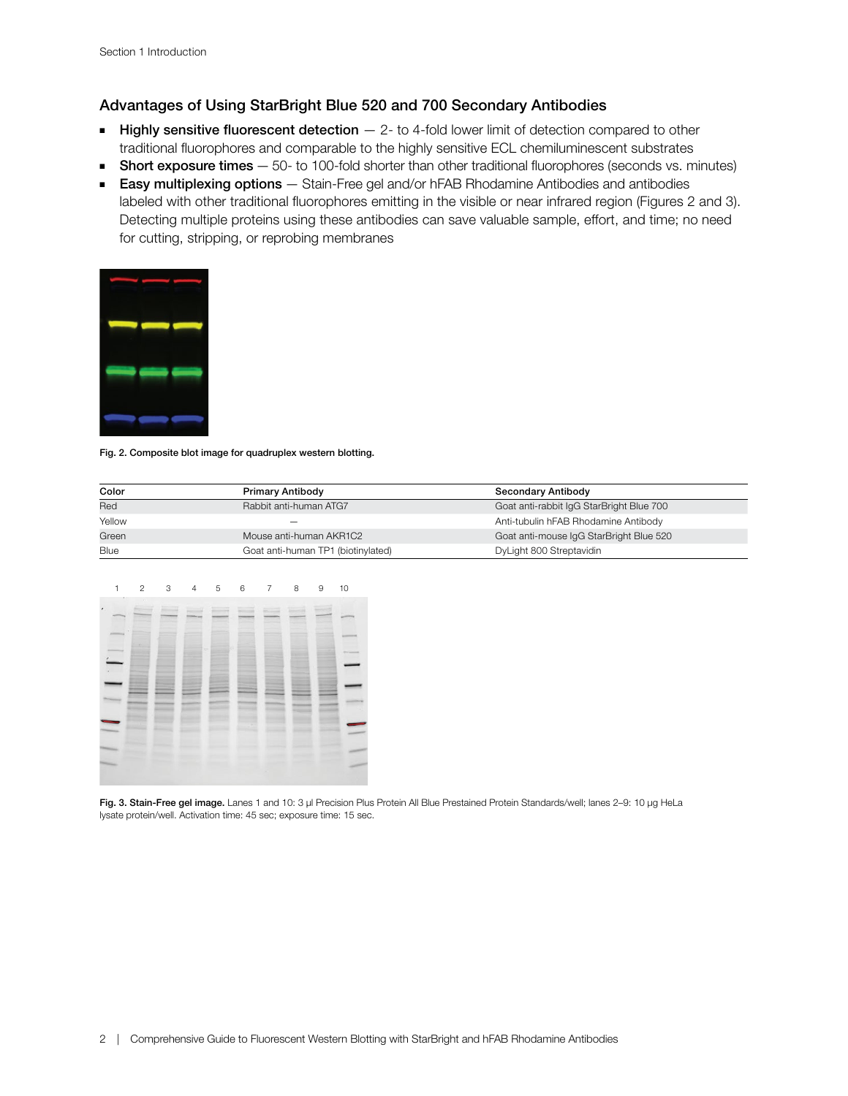### Advantages of Using StarBright Blue 520 and 700 Secondary Antibodies

- **Highly sensitive fluorescent detection**  $-$  2- to 4-fold lower limit of detection compared to other traditional fluorophores and comparable to the highly sensitive ECL chemiluminescent substrates
- **Short exposure times**  $-50$  to 100-fold shorter than other traditional fluorophores (seconds vs. minutes)
- Easy multiplexing options Stain-Free gel and/or hFAB Rhodamine Antibodies and antibodies labeled with other traditional fluorophores emitting in the visible or near infrared region (Figures 2 and 3). Detecting multiple proteins using these antibodies can save valuable sample, effort, and time; no need for cutting, stripping, or reprobing membranes



#### Fig. 2. Composite blot image for quadruplex western blotting.

| Color  | <b>Primary Antibody</b>            | <b>Secondary Antibody</b>                |  |
|--------|------------------------------------|------------------------------------------|--|
| Red    | Rabbit anti-human ATG7             | Goat anti-rabbit IgG StarBright Blue 700 |  |
| Yellow | –                                  | Anti-tubulin hFAB Rhodamine Antibody     |  |
| Green  | Mouse anti-human AKR1C2            | Goat anti-mouse IgG StarBright Blue 520  |  |
| Blue   | Goat anti-human TP1 (biotinylated) | DyLight 800 Streptavidin                 |  |



Fig. 3. Stain-Free gel image. Lanes 1 and 10: 3 µl Precision Plus Protein All Blue Prestained Protein Standards/well; lanes 2-9: 10 µg HeLa lysate protein/well. Activation time: 45 sec; exposure time: 15 sec.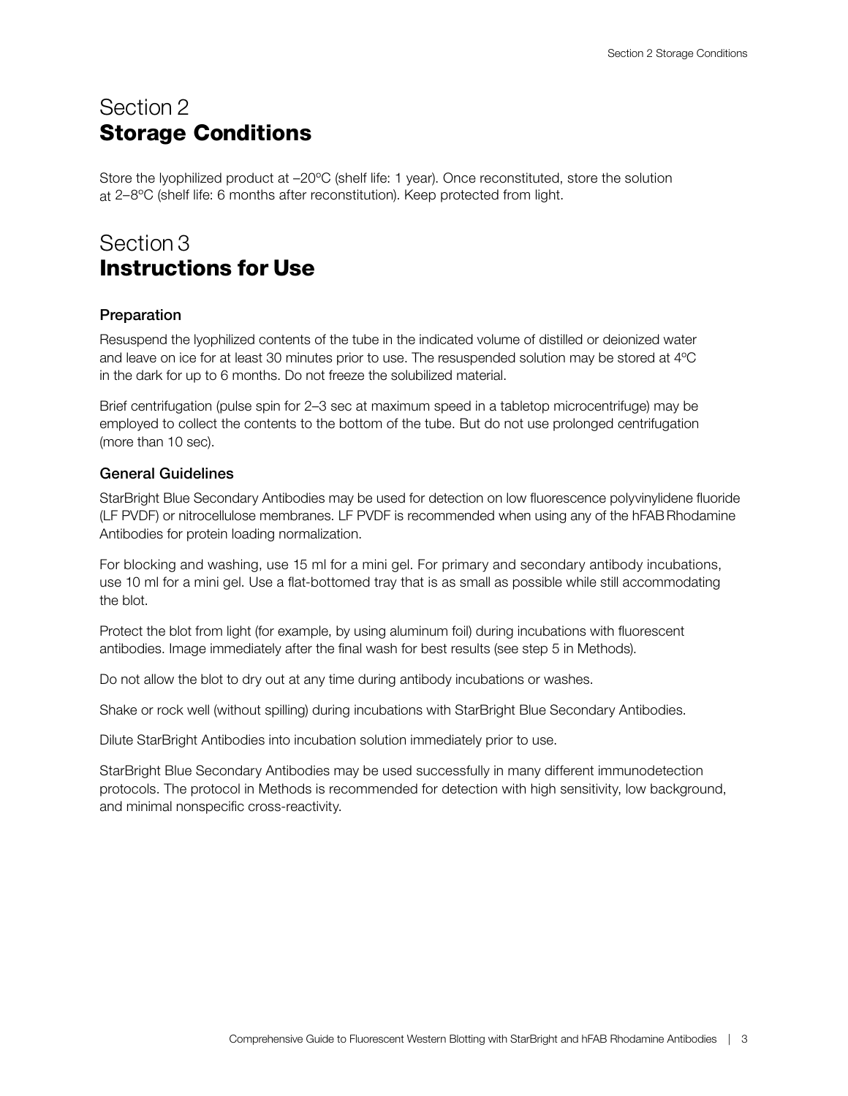### Section 2 Storage Conditions

Store the lyophilized product at –20ºC (shelf life: 1 year). Once reconstituted, store the solution at 2–8ºC (shelf life: 6 months after reconstitution). Keep protected from light.

### Section 3 Instructions for Use

### Preparation

Resuspend the lyophilized contents of the tube in the indicated volume of distilled or deionized water and leave on ice for at least 30 minutes prior to use. The resuspended solution may be stored at 4ºC in the dark for up to 6 months. Do not freeze the solubilized material.

Brief centrifugation (pulse spin for 2–3 sec at maximum speed in a tabletop microcentrifuge) may be employed to collect the contents to the bottom of the tube. But do not use prolonged centrifugation (more than 10 sec).

#### General Guidelines

StarBright Blue Secondary Antibodies may be used for detection on low fluorescence polyvinylidene fluoride (LF PVDF) or nitrocellulose membranes. LF PVDF is recommended when using any of the hFABRhodamine Antibodies for protein loading normalization.

For blocking and washing, use 15 ml for a mini gel. For primary and secondary antibody incubations, use 10 ml for a mini gel. Use a flat-bottomed tray that is as small as possible while still accommodating the blot.

Protect the blot from light (for example, by using aluminum foil) during incubations with fluorescent antibodies. Image immediately after the final wash for best results (see step 5 in Methods).

Do not allow the blot to dry out at any time during antibody incubations or washes.

Shake or rock well (without spilling) during incubations with StarBright Blue Secondary Antibodies.

Dilute StarBright Antibodies into incubation solution immediately prior to use.

StarBright Blue Secondary Antibodies may be used successfully in many different immunodetection protocols. The protocol in Methods is recommended for detection with high sensitivity, low background, and minimal nonspecific cross-reactivity.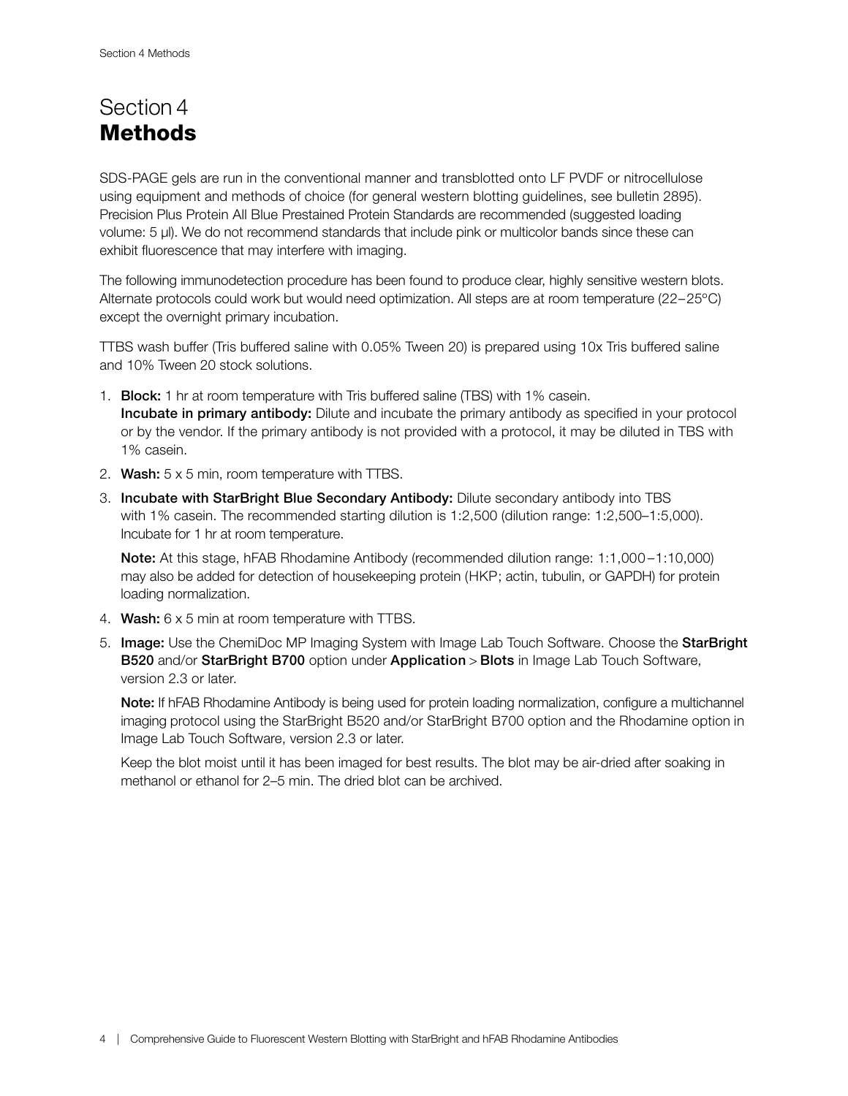### Section 4 **Methods**

SDS-PAGE gels are run in the conventional manner and transblotted onto LF PVDF or nitrocellulose using equipment and methods of choice (for general western blotting guidelines, see bulletin 2895). Precision Plus Protein All Blue Prestained Protein Standards are recommended (suggested loading volume: 5 µl). We do not recommend standards that include pink or multicolor bands since these can exhibit fluorescence that may interfere with imaging.

The following immunodetection procedure has been found to produce clear, highly sensitive western blots. Alternate protocols could work but would need optimization. All steps are at room temperature (22–25ºC) except the overnight primary incubation.

TTBS wash buffer (Tris buffered saline with 0.05% Tween 20) is prepared using 10x Tris buffered saline and 10% Tween 20 stock solutions.

- 1. Block: 1 hr at room temperature with Tris buffered saline (TBS) with 1% casein. Incubate in primary antibody: Dilute and incubate the primary antibody as specified in your protocol or by the vendor. If the primary antibody is not provided with a protocol, it may be diluted in TBS with 1% casein.
- 2. Wash:  $5 \times 5$  min, room temperature with TTBS.
- 3. Incubate with StarBright Blue Secondary Antibody: Dilute secondary antibody into TBS with 1% casein. The recommended starting dilution is 1:2,500 (dilution range: 1:2,500–1:5,000). Incubate for 1 hr at room temperature.

Note: At this stage, hFAB Rhodamine Antibody (recommended dilution range: 1:1,000-1:10,000) may also be added for detection of housekeeping protein (HKP; actin, tubulin, or GAPDH) for protein loading normalization.

- 4. Wash: 6 x 5 min at room temperature with TTBS.
- 5. Image: Use the ChemiDoc MP Imaging System with Image Lab Touch Software. Choose the StarBright B520 and/or StarBright B700 option under Application > Blots in Image Lab Touch Software, version 2.3 or later.

Note: If hFAB Rhodamine Antibody is being used for protein loading normalization, configure a multichannel imaging protocol using the StarBright B520 and/or StarBright B700 option and the Rhodamine option in Image Lab Touch Software, version 2.3 or later.

 Keep the blot moist until it has been imaged for best results. The blot may be air-dried after soaking in methanol or ethanol for 2–5 min. The dried blot can be archived.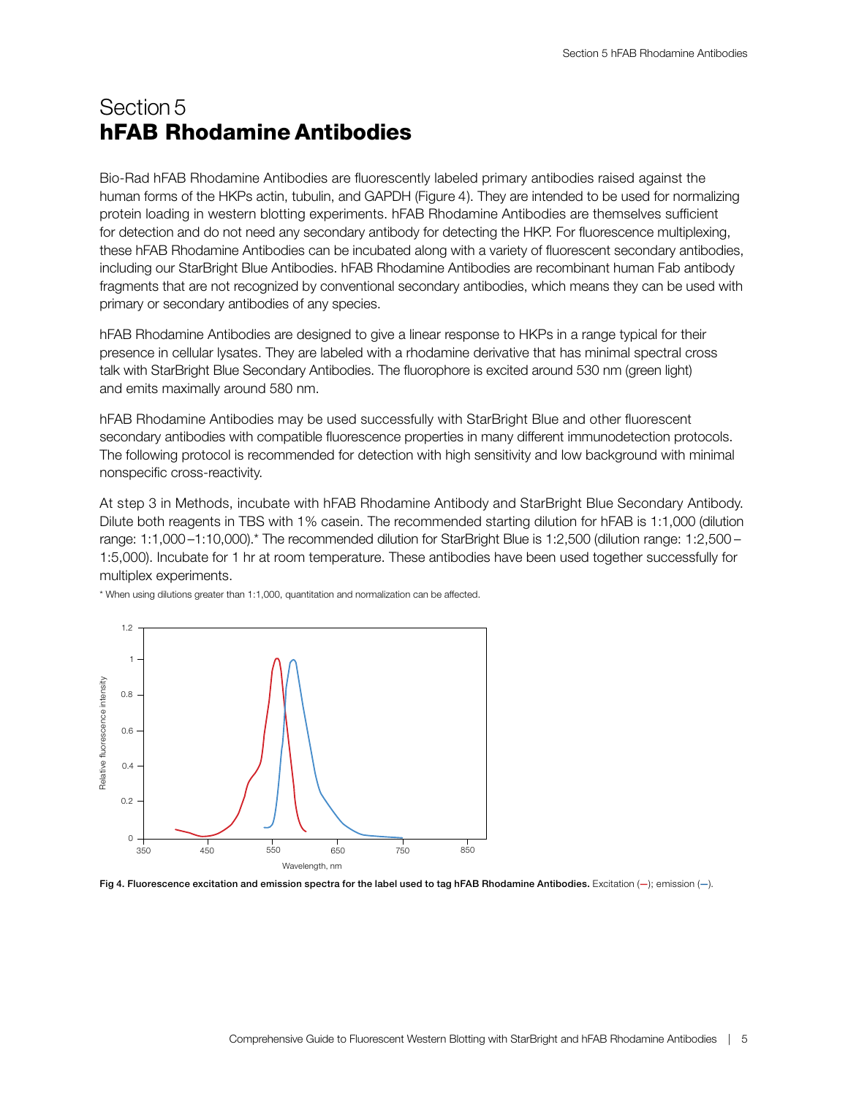### Section 5 hFAB Rhodamine Antibodies

Bio-Rad hFAB Rhodamine Antibodies are fluorescently labeled primary antibodies raised against the human forms of the HKPs actin, tubulin, and GAPDH (Figure 4). They are intended to be used for normalizing protein loading in western blotting experiments. hFAB Rhodamine Antibodies are themselves sufficient for detection and do not need any secondary antibody for detecting the HKP. For fluorescence multiplexing, these hFAB Rhodamine Antibodies can be incubated along with a variety of fluorescent secondary antibodies, including our StarBright Blue Antibodies. hFAB Rhodamine Antibodies are recombinant human Fab antibody fragments that are not recognized by conventional secondary antibodies, which means they can be used with primary or secondary antibodies of any species.

hFAB Rhodamine Antibodies are designed to give a linear response to HKPs in a range typical for their presence in cellular lysates. They are labeled with a rhodamine derivative that has minimal spectral cross talk with StarBright Blue Secondary Antibodies. The fluorophore is excited around 530 nm (green light) and emits maximally around 580 nm.

hFAB Rhodamine Antibodies may be used successfully with StarBright Blue and other fluorescent secondary antibodies with compatible fluorescence properties in many different immunodetection protocols. The following protocol is recommended for detection with high sensitivity and low background with minimal nonspecific cross-reactivity.

At step 3 in Methods, incubate with hFAB Rhodamine Antibody and StarBright Blue Secondary Antibody. Dilute both reagents in TBS with 1% casein. The recommended starting dilution for hFAB is 1:1,000 (dilution range: 1:1,000 –1:10,000).\* The recommended dilution for StarBright Blue is 1:2,500 (dilution range: 1:2,500 – 1:5,000). Incubate for 1 hr at room temperature. These antibodies have been used together successfully for multiplex experiments.



\* When using dilutions greater than 1:1,000, quantitation and normalization can be affected.

Fig 4. Fluorescence excitation and emission spectra for the label used to tag hFAB Rhodamine Antibodies. Excitation  $(-)$ ; emission  $(-)$ .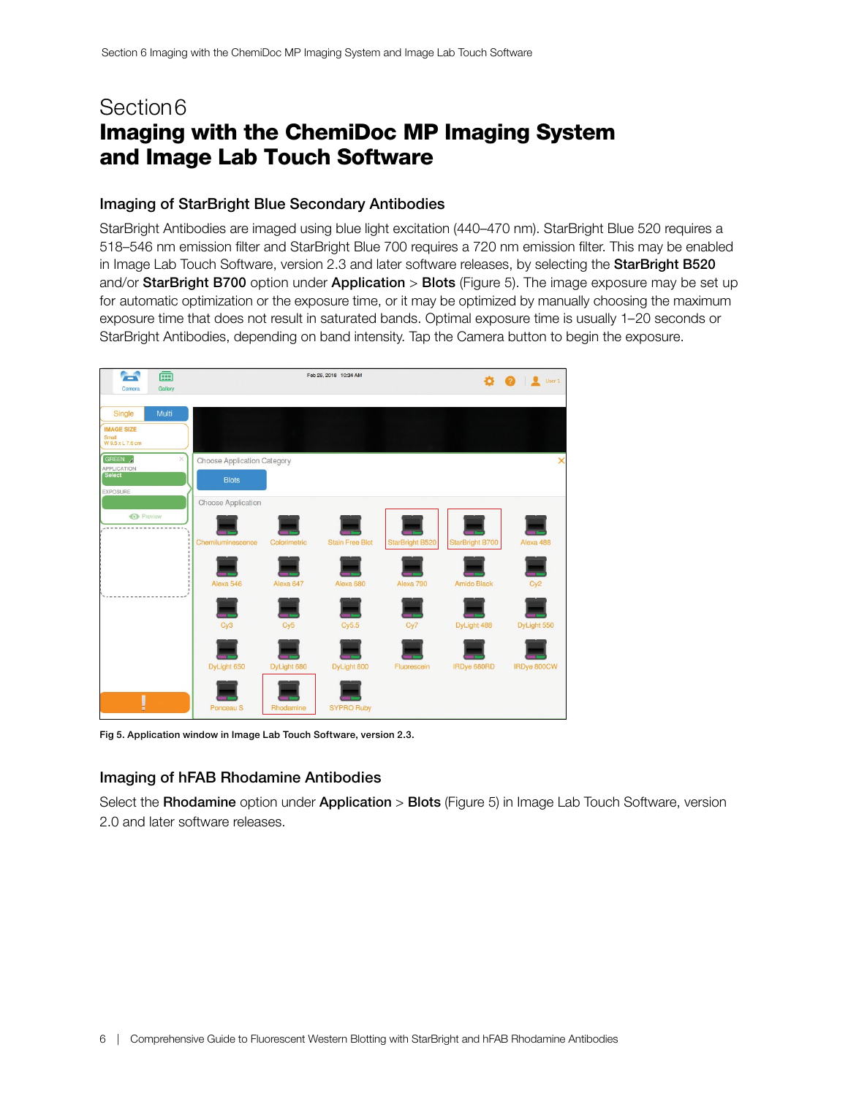### Section 6 Imaging with the ChemiDoc MP Imaging System and Image Lab Touch Software

#### Imaging of StarBright Blue Secondary Antibodies

StarBright Antibodies are imaged using blue light excitation (440–470 nm). StarBright Blue 520 requires a 518–546 nm emission filter and StarBright Blue 700 requires a 720 nm emission filter. This may be enabled in Image Lab Touch Software, version 2.3 and later software releases, by selecting the StarBright B520 and/or StarBright B700 option under Application > Blots (Figure 5). The image exposure may be set up for automatic optimization or the exposure time, or it may be optimized by manually choosing the maximum exposure time that does not result in saturated bands. Optimal exposure time is usually 1–20 seconds or StarBright Antibodies, depending on band intensity. Tap the Camera button to begin the exposure.



Fig 5. Application window in Image Lab Touch Software, version 2.3.

### Imaging of hFAB Rhodamine Antibodies

Select the Rhodamine option under Application > Blots (Figure 5) in Image Lab Touch Software, version 2.0 and later software releases.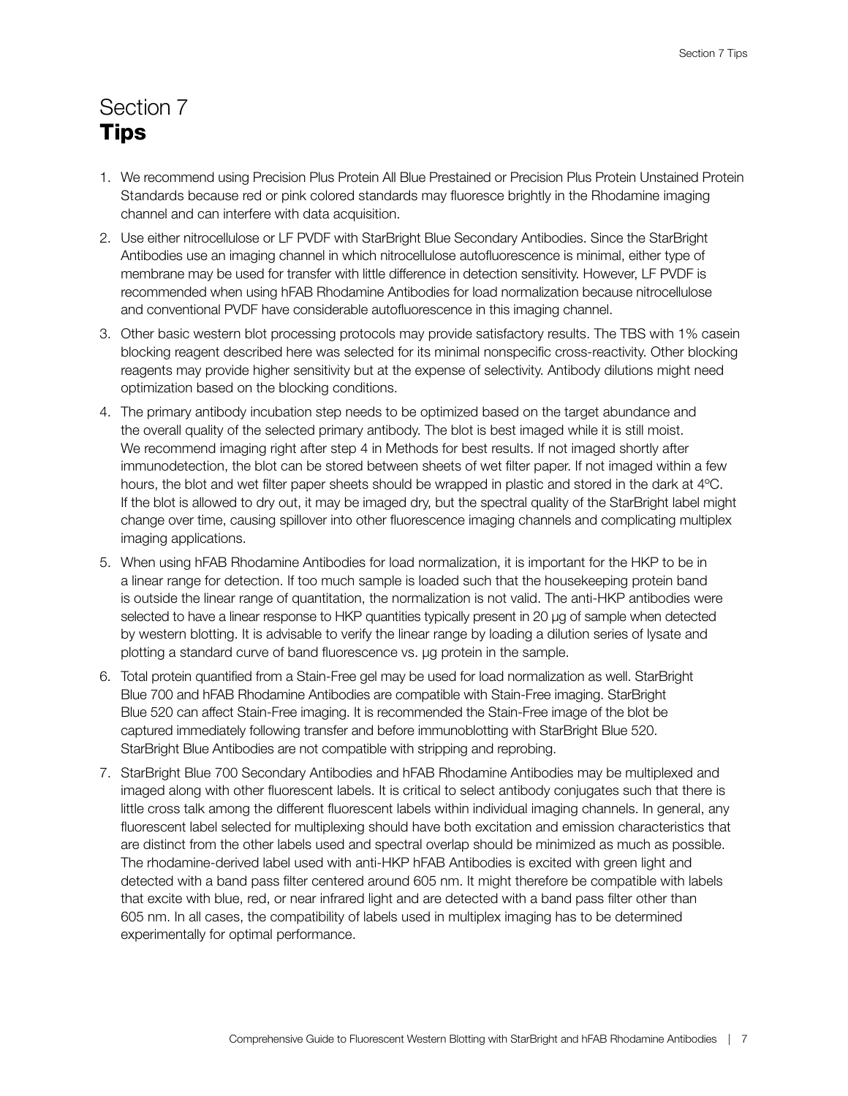## Section 7 **Tips**

- 1. We recommend using Precision Plus Protein All Blue Prestained or Precision Plus Protein Unstained Protein Standards because red or pink colored standards may fluoresce brightly in the Rhodamine imaging channel and can interfere with data acquisition.
- 2. Use either nitrocellulose or LF PVDF with StarBright Blue Secondary Antibodies. Since the StarBright Antibodies use an imaging channel in which nitrocellulose autofluorescence is minimal, either type of membrane may be used for transfer with little difference in detection sensitivity. However, LF PVDF is recommended when using hFAB Rhodamine Antibodies for load normalization because nitrocellulose and conventional PVDF have considerable autofluorescence in this imaging channel.
- 3. Other basic western blot processing protocols may provide satisfactory results. The TBS with 1% casein blocking reagent described here was selected for its minimal nonspecific cross-reactivity. Other blocking reagents may provide higher sensitivity but at the expense of selectivity. Antibody dilutions might need optimization based on the blocking conditions.
- 4. The primary antibody incubation step needs to be optimized based on the target abundance and the overall quality of the selected primary antibody. The blot is best imaged while it is still moist. We recommend imaging right after step 4 in Methods for best results. If not imaged shortly after immunodetection, the blot can be stored between sheets of wet filter paper. If not imaged within a few hours, the blot and wet filter paper sheets should be wrapped in plastic and stored in the dark at 4ºC. If the blot is allowed to dry out, it may be imaged dry, but the spectral quality of the StarBright label might change over time, causing spillover into other fluorescence imaging channels and complicating multiplex imaging applications.
- 5. When using hFAB Rhodamine Antibodies for load normalization, it is important for the HKP to be in a linear range for detection. If too much sample is loaded such that the housekeeping protein band is outside the linear range of quantitation, the normalization is not valid. The anti-HKP antibodies were selected to have a linear response to HKP quantities typically present in 20 µg of sample when detected by western blotting. It is advisable to verify the linear range by loading a dilution series of lysate and plotting a standard curve of band fluorescence vs. µg protein in the sample.
- 6. Total protein quantified from a Stain-Free gel may be used for load normalization as well. StarBright Blue 700 and hFAB Rhodamine Antibodies are compatible with Stain-Free imaging. StarBright Blue 520 can affect Stain-Free imaging. It is recommended the Stain-Free image of the blot be captured immediately following transfer and before immunoblotting with StarBright Blue 520. StarBright Blue Antibodies are not compatible with stripping and reprobing.
- 7. StarBright Blue 700 Secondary Antibodies and hFAB Rhodamine Antibodies may be multiplexed and imaged along with other fluorescent labels. It is critical to select antibody conjugates such that there is little cross talk among the different fluorescent labels within individual imaging channels. In general, any fluorescent label selected for multiplexing should have both excitation and emission characteristics that are distinct from the other labels used and spectral overlap should be minimized as much as possible. The rhodamine-derived label used with anti-HKP hFAB Antibodies is excited with green light and detected with a band pass filter centered around 605 nm. It might therefore be compatible with labels that excite with blue, red, or near infrared light and are detected with a band pass filter other than 605 nm. In all cases, the compatibility of labels used in multiplex imaging has to be determined experimentally for optimal performance.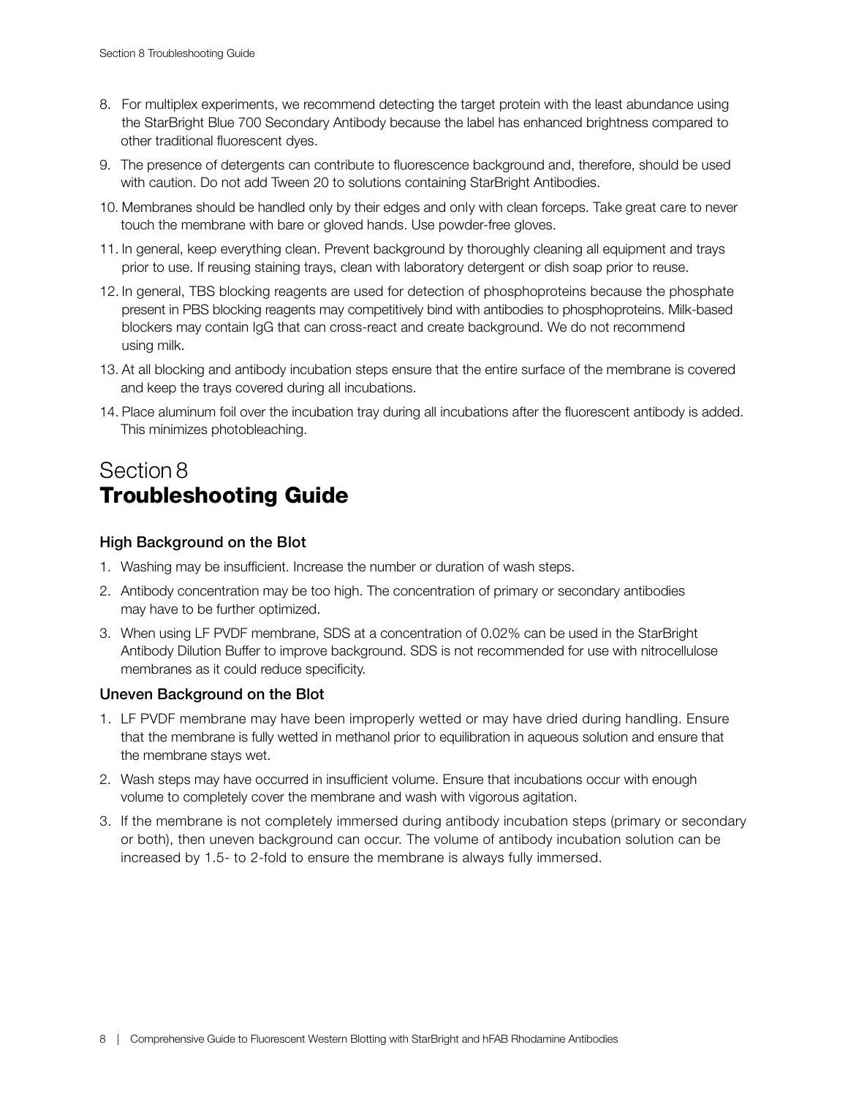- 8. For multiplex experiments, we recommend detecting the target protein with the least abundance using the StarBright Blue 700 Secondary Antibody because the label has enhanced brightness compared to other traditional fluorescent dyes.
- 9. The presence of detergents can contribute to fluorescence background and, therefore, should be used with caution. Do not add Tween 20 to solutions containing StarBright Antibodies.
- 10. Membranes should be handled only by their edges and only with clean forceps. Take great care to never touch the membrane with bare or gloved hands. Use powder-free gloves.
- 11. In general, keep everything clean. Prevent background by thoroughly cleaning all equipment and trays prior to use. If reusing staining trays, clean with laboratory detergent or dish soap prior to reuse.
- 12. In general, TBS blocking reagents are used for detection of phosphoproteins because the phosphate present in PBS blocking reagents may competitively bind with antibodies to phosphoproteins. Milk-based blockers may contain IgG that can cross-react and create background. We do not recommend using milk.
- 13. At all blocking and antibody incubation steps ensure that the entire surface of the membrane is covered and keep the trays covered during all incubations.
- 14. Place aluminum foil over the incubation tray during all incubations after the fluorescent antibody is added. This minimizes photobleaching.

### Section 8 Troubleshooting Guide

### High Background on the Blot

- 1. Washing may be insufficient. Increase the number or duration of wash steps.
- 2. Antibody concentration may be too high. The concentration of primary or secondary antibodies may have to be further optimized.
- 3. When using LF PVDF membrane, SDS at a concentration of 0.02% can be used in the StarBright Antibody Dilution Buffer to improve background. SDS is not recommended for use with nitrocellulose membranes as it could reduce specificity.

#### Uneven Background on the Blot

- 1. LF PVDF membrane may have been improperly wetted or may have dried during handling. Ensure that the membrane is fully wetted in methanol prior to equilibration in aqueous solution and ensure that the membrane stays wet.
- 2. Wash steps may have occurred in insufficient volume. Ensure that incubations occur with enough volume to completely cover the membrane and wash with vigorous agitation.
- 3. If the membrane is not completely immersed during antibody incubation steps (primary or secondary or both), then uneven background can occur. The volume of antibody incubation solution can be increased by 1.5- to 2-fold to ensure the membrane is always fully immersed.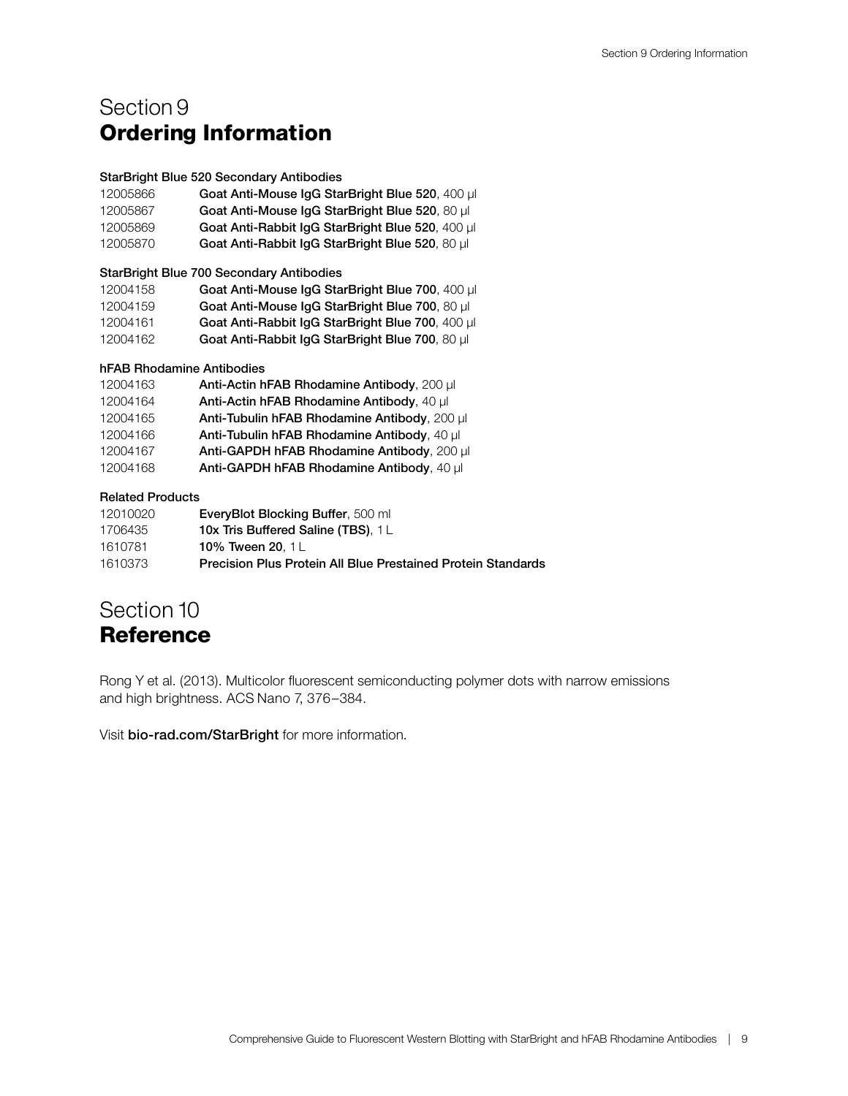### Section 9 Ordering Information

#### StarBright Blue 520 Secondary Antibodies

| 12005866 | Goat Anti-Mouse IgG StarBright Blue 520, 400 ul  |
|----------|--------------------------------------------------|
| 12005867 | Goat Anti-Mouse IgG StarBright Blue 520, 80 µl   |
| 12005869 | Goat Anti-Rabbit IgG StarBright Blue 520, 400 µl |
| 12005870 | Goat Anti-Rabbit IgG StarBright Blue 520, 80 µl  |

StarBright Blue 700 Secondary Antibodies

| 12004158 | Goat Anti-Mouse IgG StarBright Blue 700, 400 µl  |
|----------|--------------------------------------------------|
| 12004159 | Goat Anti-Mouse IgG StarBright Blue 700, 80 µl   |
| 12004161 | Goat Anti-Rabbit IgG StarBright Blue 700, 400 µl |
| 12004162 | Goat Anti-Rabbit IgG StarBright Blue 700, 80 µl  |

#### hFAB Rhodamine Antibodies

| 12004163 | Anti-Actin hFAB Rhodamine Antibody, 200 µl   |
|----------|----------------------------------------------|
| 12004164 | Anti-Actin hFAB Rhodamine Antibody, 40 µ     |
| 12004165 | Anti-Tubulin hFAB Rhodamine Antibody, 200 µl |
| 12004166 | Anti-Tubulin hFAB Rhodamine Antibody, 40 µl  |
| 12004167 | Anti-GAPDH hFAB Rhodamine Antibody, 200 µl   |
| 12004168 | Anti-GAPDH hFAB Rhodamine Antibody, 40 µl    |

#### Related Products

| 12010020 | <b>EveryBlot Blocking Buffer, 500 ml</b>                     |
|----------|--------------------------------------------------------------|
| 1706435  | <b>10x Tris Buffered Saline (TBS), 1L</b>                    |
| 1610781  | 10% Tween 20, 1L                                             |
| 1610373  | Precision Plus Protein All Blue Prestained Protein Standards |

### Section 10 **Reference**

Rong Y et al. (2013). Multicolor fluorescent semiconducting polymer dots with narrow emissions and high brightness. ACS Nano 7, 376–384.

Visit [bio-rad.com/StarBright](http://bio-rad.com/StarBright) for more information.